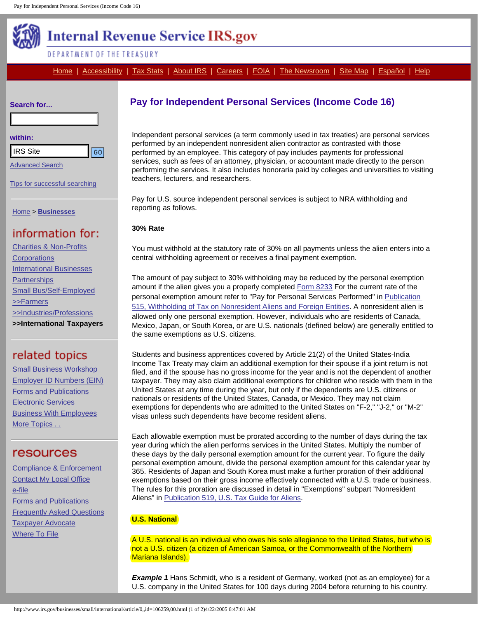<span id="page-0-0"></span>

# **Internal Revenue Service IRS.gov**

## DEPARTMENT OF THE TREASURY

[Home](http://www.irs.gov/index.html) | [Accessibility](http://www.irs.gov/accessibility/index.html) | [Tax Stats](http://www.irs.gov/taxstats/index.html) | [About IRS](http://www.irs.gov/irs/index.html) | [Careers](http://jobs.irs.gov/index.html) | [FOIA](http://www.irs.gov/foia/index.html) | [The Newsroom](http://www.irs.gov/newsroom/index.html) | [Site Map](http://www.irs.gov/sitemap/index.html) | [Español](http://www.irs.gov/espanol/index.html) | Help

| Search for |  |
|------------|--|
|------------|--|

### **within:**

[Advanced Search](http://search.irs.gov/web/advanced-search.htm)

[Tips for successful searching](http://www.irs.gov/help/search_help.html)

[Home](http://www.irs.gov/index.html) > **[Businesses](http://www.irs.gov/businesses/index.html)**

[Charities & Non-Profits](http://www.irs.gov/charities/index.html) **[Corporations](http://www.irs.gov/businesses/corporations/index.html)** [International Businesses](http://www.irs.gov/businesses/international/index.html) **[Partnerships](http://www.irs.gov/businesses/partnerships/index.html)** [Small Bus/Self-Employed](http://www.irs.gov/businesses/small/index.html) [>>Farmers](http://www.irs.gov/businesses/small/farmers/index.html) [>>Industries/Professions](http://www.irs.gov/businesses/small/industries/index.html) **[>>International Taxpayers](http://www.irs.gov/businesses/small/international/index.html)**

**[Small Business Workshop](http://www.irs.gov/businesses/small/article/0,,id=99202,00.html)** [Employer ID Numbers \(EIN\)](http://www.irs.gov/businesses/small/article/0,,id=98350,00.html) [Forms and Publications](http://www.irs.gov/businesses/small/article/0,,id=99200,00.html) [Electronic Services](http://www.irs.gov/businesses/small/article/0,,id=98724,00.html) [Business With Employees](http://www.irs.gov/businesses/small/article/0,,id=98862,00.html) [More Topics . .](http://www.irs.gov/businesses/small/international/topic/index.html)

[Compliance & Enforcement](http://www.irs.gov/compliance/index.html) [Contact My Local Office](http://www.irs.gov/localcontacts/index.html) [e-file](http://www.irs.gov/efile/index.html) [Forms and Publications](http://www.irs.gov/formspubs/index.html) [Frequently Asked Questions](http://www.irs.gov/faqs/index.html) [Taxpayer Advocate](http://www.irs.gov/advocate/index.html) [Where To File](http://www.irs.gov/file/index.html)

# **Pay for Independent Personal Services (Income Code 16)**

Independent personal services (a term commonly used in tax treaties) are personal services performed by an independent nonresident alien contractor as contrasted with those performed by an employee. This category of pay includes payments for professional services, such as fees of an attorney, physician, or accountant made directly to the person performing the services. It also includes honoraria paid by colleges and universities to visiting teachers, lecturers, and researchers.

Pay for U.S. source independent personal services is subject to NRA withholding and reporting as follows.

### **30% Rate**

You must withhold at the statutory rate of 30% on all payments unless the alien enters into a central withholding agreement or receives a final payment exemption.

The amount of pay subject to 30% withholding may be reduced by the personal exemption amount if the alien gives you a properly completed [Form 8233](http://www.irs.gov/pub/irs-pdf/f8233.pdf) For the current rate of the personal exemption amount refer to "Pay for Personal Services Performed" in [Publication](http://www.irs.gov/publications/p515/index.html)  [515, Withholding of Tax on Nonresident Aliens and Foreign Entities.](http://www.irs.gov/publications/p515/index.html) A nonresident alien is allowed only one personal exemption. However, individuals who are residents of Canada, Mexico, Japan, or South Korea, or are U.S. nationals (defined below) are generally entitled to the same exemptions as U.S. citizens.

Students and business apprentices covered by Article 21(2) of the United States-India Income Tax Treaty may claim an additional exemption for their spouse if a joint return is not filed, and if the spouse has no gross income for the year and is not the dependent of another taxpayer. They may also claim additional exemptions for children who reside with them in the United States at any time during the year, but only if the dependents are U.S. citizens or nationals or residents of the United States, Canada, or Mexico. They may not claim exemptions for dependents who are admitted to the United States on "F-2," "J-2," or "M-2" visas unless such dependents have become resident aliens. The Site of the Site of the Site of the Site of the Site of the Site of the Site of the Site of the Site of the Site of the Site of the Site of the Site of the Site of the Site of the Site of the Site of the Site of the Si

Each allowable exemption must be prorated according to the number of days during the tax year during which the alien performs services in the United States. Multiply the number of these days by the daily personal exemption amount for the current year. To figure the daily personal exemption amount, divide the personal exemption amount for this calendar year by 365. Residents of Japan and South Korea must make a further proration of their additional exemptions based on their gross income effectively connected with a U.S. trade or business. The rules for this proration are discussed in detail in "Exemptions" subpart "Nonresident Aliens" in [Publication 519, U.S. Tax Guide for Aliens](http://www.irs.gov/publications/p519/index.html).

## **U.S. National**

A U.S. national is an individual who owes his sole allegiance to the United States, but who is not a U.S. citizen (a citizen of American Samoa, or the Commonwealth of the Northern Mariana Islands).

*Example 1* Hans Schmidt, who is a resident of Germany, worked (not as an employee) for a U.S. company in the United States for 100 days during 2004 before returning to his country.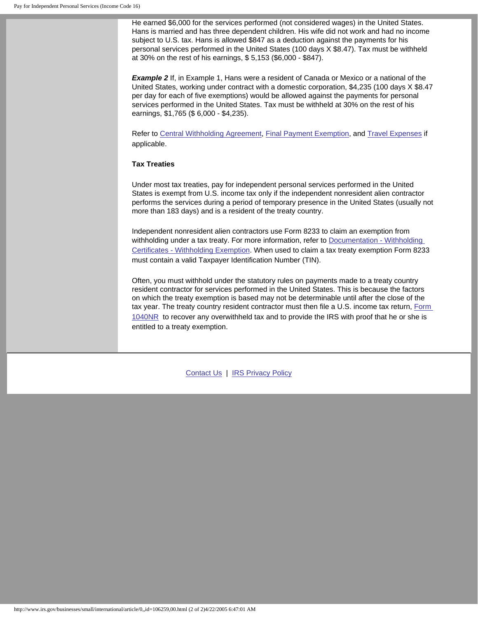He earned \$6,000 for the services performed (not considered wages) in the United States. Hans is married and has three dependent children. His wife did not work and had no income subject to U.S. tax. Hans is allowed \$847 as a deduction against the payments for his personal services performed in the United States (100 days X \$8.47). Tax must be withheld at 30% on the rest of his earnings, \$ 5,153 (\$6,000 - \$847).

**Example 2** If, in Example 1, Hans were a resident of Canada or Mexico or a national of the United States, working under contract with a domestic corporation, \$4,235 (100 days X \$8.47 per day for each of five exemptions) would be allowed against the payments for personal services performed in the United States. Tax must be withheld at 30% on the rest of his earnings, \$1,765 (\$ 6,000 - \$4,235).

Refer to [Central Withholding Agreement](http://www.irs.gov/businesses/small/international/article/0,,id=106060,00.html), [Final Payment Exemption](http://www.irs.gov/businesses/small/international/article/0,,id=106257,00.html), and [Travel Expenses](http://www.irs.gov/businesses/small/international/article/0,,id=106256,00.html) if applicable.

### **Tax Treaties**

Under most tax treaties, pay for independent personal services performed in the United States is exempt from U.S. income tax only if the independent nonresident alien contractor performs the services during a period of temporary presence in the United States (usually not more than 183 days) and is a resident of the treaty country.

Independent nonresident alien contractors use Form 8233 to claim an exemption from withholding under a tax treaty. For more information, refer to Documentation - Withholding [Certificates - Withholding Exemption](#page-0-0). When used to claim a tax treaty exemption Form 8233 must contain a valid Taxpayer Identification Number (TIN).

Often, you must withhold under the statutory rules on payments made to a treaty country resident contractor for services performed in the United States. This is because the factors on which the treaty exemption is based may not be determinable until after the close of the tax year. The treaty country resident contractor must then file a U.S. income tax return, [Form](http://www.irs.gov/pub/irs-pdf/f1040nr.pdf)  [1040NR](http://www.irs.gov/pub/irs-pdf/f1040nr.pdf) to recover any overwithheld tax and to provide the IRS with proof that he or she is entitled to a treaty exemption.

[Contact Us](http://www.irs.gov/contact/index.html) | [IRS Privacy Policy](http://www.irs.gov/privacy/index.html)